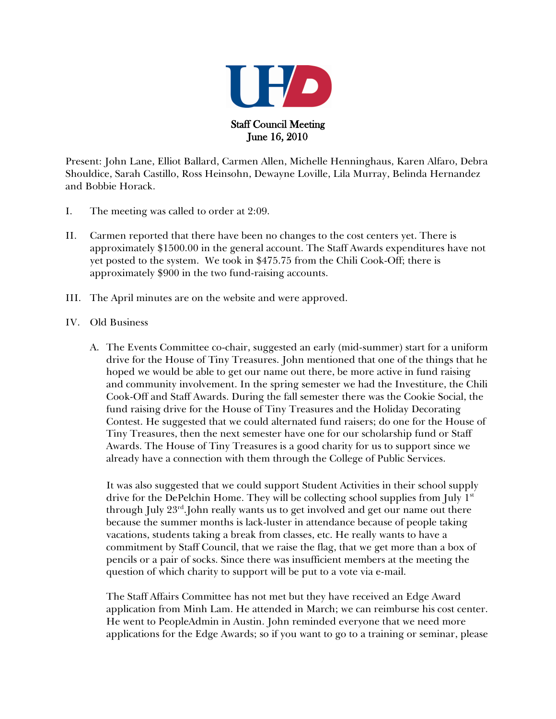

Present: John Lane, Elliot Ballard, Carmen Allen, Michelle Henninghaus, Karen Alfaro, Debra Shouldice, Sarah Castillo, Ross Heinsohn, Dewayne Loville, Lila Murray, Belinda Hernandez and Bobbie Horack.

- I. The meeting was called to order at 2:09.
- II. Carmen reported that there have been no changes to the cost centers yet. There is approximately \$1500.00 in the general account. The Staff Awards expenditures have not yet posted to the system. We took in \$475.75 from the Chili Cook-Off; there is approximately \$900 in the two fund-raising accounts.
- III. The April minutes are on the website and were approved.
- IV. Old Business
	- A. The Events Committee co-chair, suggested an early (mid-summer) start for a uniform drive for the House of Tiny Treasures. John mentioned that one of the things that he hoped we would be able to get our name out there, be more active in fund raising and community involvement. In the spring semester we had the Investiture, the Chili Cook-Off and Staff Awards. During the fall semester there was the Cookie Social, the fund raising drive for the House of Tiny Treasures and the Holiday Decorating Contest. He suggested that we could alternated fund raisers; do one for the House of Tiny Treasures, then the next semester have one for our scholarship fund or Staff Awards. The House of Tiny Treasures is a good charity for us to support since we already have a connection with them through the College of Public Services.

It was also suggested that we could support Student Activities in their school supply drive for the DePelchin Home. They will be collecting school supplies from July  $1<sup>st</sup>$ through July  $23^{rd}$ . John really wants us to get involved and get our name out there because the summer months is lack-luster in attendance because of people taking vacations, students taking a break from classes, etc. He really wants to have a commitment by Staff Council, that we raise the flag, that we get more than a box of pencils or a pair of socks. Since there was insufficient members at the meeting the question of which charity to support will be put to a vote via e-mail.

The Staff Affairs Committee has not met but they have received an Edge Award application from Minh Lam. He attended in March; we can reimburse his cost center. He went to PeopleAdmin in Austin. John reminded everyone that we need more applications for the Edge Awards; so if you want to go to a training or seminar, please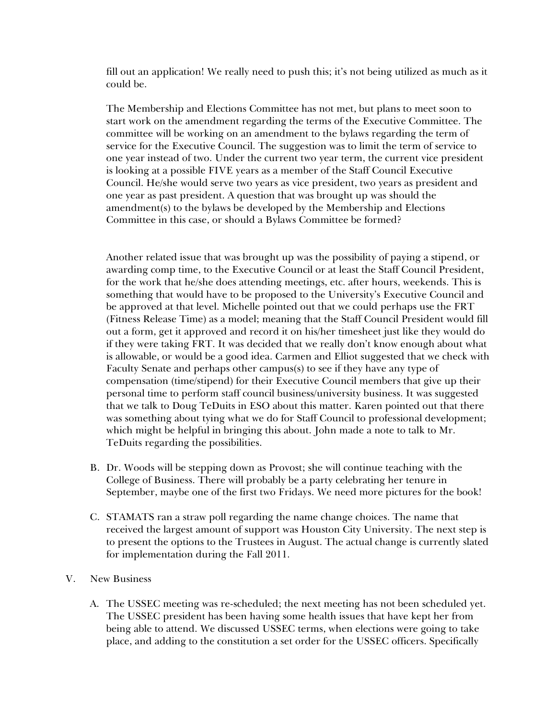fill out an application! We really need to push this; it's not being utilized as much as it could be.

The Membership and Elections Committee has not met, but plans to meet soon to start work on the amendment regarding the terms of the Executive Committee. The committee will be working on an amendment to the bylaws regarding the term of service for the Executive Council. The suggestion was to limit the term of service to one year instead of two. Under the current two year term, the current vice president is looking at a possible FIVE years as a member of the Staff Council Executive Council. He/she would serve two years as vice president, two years as president and one year as past president. A question that was brought up was should the amendment(s) to the bylaws be developed by the Membership and Elections Committee in this case, or should a Bylaws Committee be formed?

Another related issue that was brought up was the possibility of paying a stipend, or awarding comp time, to the Executive Council or at least the Staff Council President, for the work that he/she does attending meetings, etc. after hours, weekends. This is something that would have to be proposed to the University's Executive Council and be approved at that level. Michelle pointed out that we could perhaps use the FRT (Fitness Release Time) as a model; meaning that the Staff Council President would fill out a form, get it approved and record it on his/her timesheet just like they would do if they were taking FRT. It was decided that we really don't know enough about what is allowable, or would be a good idea. Carmen and Elliot suggested that we check with Faculty Senate and perhaps other campus(s) to see if they have any type of compensation (time/stipend) for their Executive Council members that give up their personal time to perform staff council business/university business. It was suggested that we talk to Doug TeDuits in ESO about this matter. Karen pointed out that there was something about tying what we do for Staff Council to professional development; which might be helpful in bringing this about. John made a note to talk to Mr. TeDuits regarding the possibilities.

- B. Dr. Woods will be stepping down as Provost; she will continue teaching with the College of Business. There will probably be a party celebrating her tenure in September, maybe one of the first two Fridays. We need more pictures for the book!
- C. STAMATS ran a straw poll regarding the name change choices. The name that received the largest amount of support was Houston City University. The next step is to present the options to the Trustees in August. The actual change is currently slated for implementation during the Fall 2011.
- V. New Business
	- A. The USSEC meeting was re-scheduled; the next meeting has not been scheduled yet. The USSEC president has been having some health issues that have kept her from being able to attend. We discussed USSEC terms, when elections were going to take place, and adding to the constitution a set order for the USSEC officers. Specifically